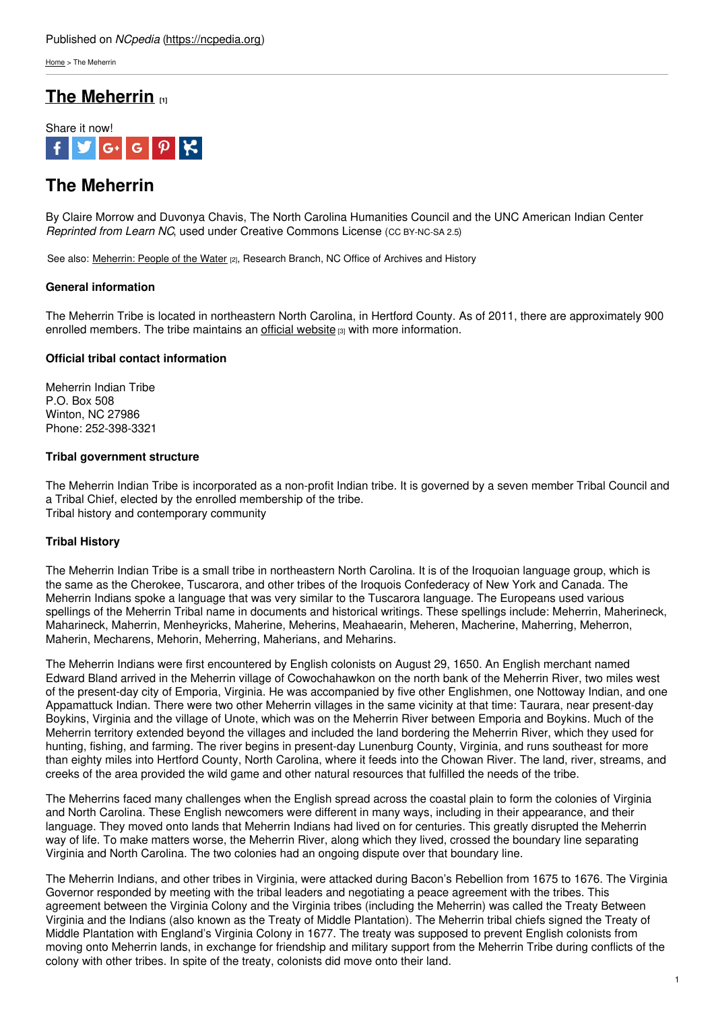[Home](https://ncpedia.org/) > The Meherrin

# **The [Meherrin](https://ncpedia.org/meherrin) [1]**



# **The Meherrin**

By Claire Morrow and Duvonya Chavis, The North Carolina Humanities Council and the UNC American Indian Center *Reprinted from Learn NC*, used under Creative Commons License (CC BY-NC-SA 2.5)

See also: [Meherrin:](https://www.ncpedia.org/meherrin-people-of-the-water) People of the Water [2], Research Branch, NC Office of Archives and History

#### **General information**

The Meherrin Tribe is located in no[rtheastern](http://www.social9.com) North Carolina, in Hertford County. As of 2011, there are approximately 900 enrolled members. The tribe maintains an official [website](https://meherrinnation.org/index2.html)  $\mathfrak{g}_3$  with more information.

### **Official tribal contact information**

Meherrin Indian Tribe P.O. Box 508 Winton, NC 27986 Phone: 252-398-3321

#### **Tribal government structure**

The Meherrin Indian Tribe is incorporated as a non-profit Indian tribe. It is governed by a seven member Tribal Council and a Tribal Chief, elected by the enrolled membership of the tribe. Tribal history and contemporary community

### **Tribal History**

The Meherrin Indian Tribe is a small tribe in northeastern North Carolina. It is of the Iroquoian language group, which is the same as the Cherokee, Tuscarora, and other tribes of the Iroquois Confederacy of New York and Canada. The Meherrin Indians spoke a language that was very similar to the Tuscarora language. The Europeans used various spellings of the Meherrin Tribal name in documents and historical writings. These spellings include: Meherrin, Maherineck, Maharineck, Maherrin, Menheyricks, Maherine, Meherins, Meahaearin, Meheren, Macherine, Maherring, Meherron, Maherin, Mecharens, Mehorin, Meherring, Maherians, and Meharins.

The Meherrin Indians were first encountered by English colonists on August 29, 1650. An English merchant named Edward Bland arrived in the Meherrin village of Cowochahawkon on the north bank of the Meherrin River, two miles west of the present-day city of Emporia, Virginia. He was accompanied by five other Englishmen, one Nottoway Indian, and one Appamattuck Indian. There were two other Meherrin villages in the same vicinity at that time: Taurara, near present-day Boykins, Virginia and the village of Unote, which was on the Meherrin River between Emporia and Boykins. Much of the Meherrin territory extended beyond the villages and included the land bordering the Meherrin River, which they used for hunting, fishing, and farming. The river begins in present-day Lunenburg County, Virginia, and runs southeast for more than eighty miles into Hertford County, North Carolina, where it feeds into the Chowan River. The land, river, streams, and creeks of the area provided the wild game and other natural resources that fulfilled the needs of the tribe.

The Meherrins faced many challenges when the English spread across the coastal plain to form the colonies of Virginia and North Carolina. These English newcomers were different in many ways, including in their appearance, and their language. They moved onto lands that Meherrin Indians had lived on for centuries. This greatly disrupted the Meherrin way of life. To make matters worse, the Meherrin River, along which they lived, crossed the boundary line separating Virginia and North Carolina. The two colonies had an ongoing dispute over that boundary line.

The Meherrin Indians, and other tribes in Virginia, were attacked during Bacon's Rebellion from 1675 to 1676. The Virginia Governor responded by meeting with the tribal leaders and negotiating a peace agreement with the tribes. This agreement between the Virginia Colony and the Virginia tribes (including the Meherrin) was called the Treaty Between Virginia and the Indians (also known as the Treaty of Middle Plantation). The Meherrin tribal chiefs signed the Treaty of Middle Plantation with England's Virginia Colony in 1677. The treaty was supposed to prevent English colonists from moving onto Meherrin lands, in exchange for friendship and military support from the Meherrin Tribe during conflicts of the colony with other tribes. In spite of the treaty, colonists did move onto their land.